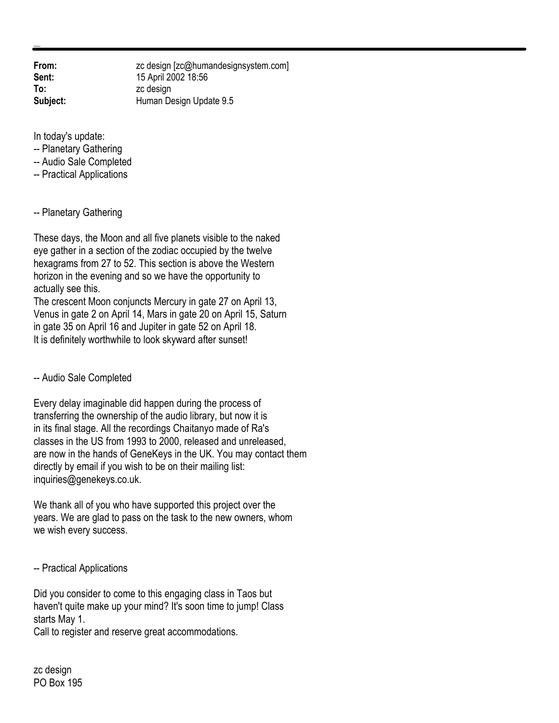**From:** zc design [zc@humandesignsystem.com] **Sent:** 15 April 2002 18:56 **To:** zc design **Subject:** Human Design Update 9.5

In today's update:

- -- Planetary Gathering
- -- Audio Sale Completed
- -- Practical Applications

-- Planetary Gathering

These days, the Moon and all five planets visible to the naked eye gather in a section of the zodiac occupied by the twelve hexagrams from 27 to 52. This section is above the Western horizon in the evening and so we have the opportunity to actually see this.

The crescent Moon conjuncts Mercury in gate 27 on April 13, Venus in gate 2 on April 14, Mars in gate 20 on April 15, Saturn in gate 35 on April 16 and Jupiter in gate 52 on April 18. It is definitely worthwhile to look skyward after sunset!

-- Audio Sale Completed

Every delay imaginable did happen during the process of transferring the ownership of the audio library, but now it is in its final stage. All the recordings Chaitanyo made of Ra's classes in the US from 1993 to 2000, released and unreleased, are now in the hands of GeneKeys in the UK. You may contact them directly by email if you wish to be on their mailing list: inquiries@genekeys.co.uk.

We thank all of you who have supported this project over the years. We are glad to pass on the task to the new owners, whom we wish every success.

-- Practical Applications

Did you consider to come to this engaging class in Taos but haven't quite make up your mind? It's soon time to jump! Class starts May 1.

Call to register and reserve great accommodations.

zc design PO Box 195